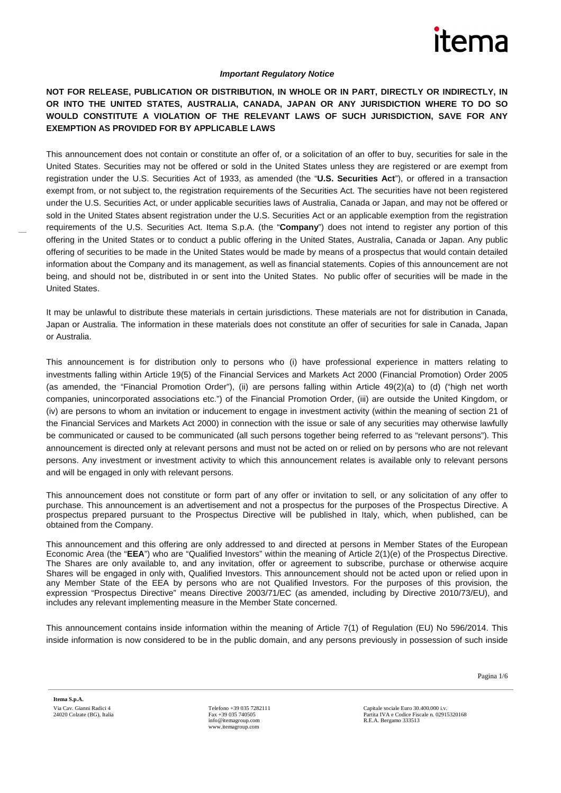

#### **Important Regulatory Notice**

#### **NOT FOR RELEASE, PUBLICATION OR DISTRIBUTION, IN WHOLE OR IN PART, DIRECTLY OR INDIRECTLY, IN OR INTO THE UNITED STATES, AUSTRALIA, CANADA, JAPAN OR ANY JURISDICTION WHERE TO DO SO WOULD CONSTITUTE A VIOLATION OF THE RELEVANT LAWS OF SUCH JURISDICTION, SAVE FOR ANY EXEMPTION AS PROVIDED FOR BY APPLICABLE LAWS**

This announcement does not contain or constitute an offer of, or a solicitation of an offer to buy, securities for sale in the United States. Securities may not be offered or sold in the United States unless they are registered or are exempt from registration under the U.S. Securities Act of 1933, as amended (the "**U.S. Securities Act**"), or offered in a transaction exempt from, or not subject to, the registration requirements of the Securities Act. The securities have not been registered under the U.S. Securities Act, or under applicable securities laws of Australia, Canada or Japan, and may not be offered or sold in the United States absent registration under the U.S. Securities Act or an applicable exemption from the registration requirements of the U.S. Securities Act. Itema S.p.A. (the "**Company**") does not intend to register any portion of this offering in the United States or to conduct a public offering in the United States, Australia, Canada or Japan. Any public offering of securities to be made in the United States would be made by means of a prospectus that would contain detailed information about the Company and its management, as well as financial statements. Copies of this announcement are not being, and should not be, distributed in or sent into the United States. No public offer of securities will be made in the United States.

It may be unlawful to distribute these materials in certain jurisdictions. These materials are not for distribution in Canada, Japan or Australia. The information in these materials does not constitute an offer of securities for sale in Canada, Japan or Australia.

This announcement is for distribution only to persons who (i) have professional experience in matters relating to investments falling within Article 19(5) of the Financial Services and Markets Act 2000 (Financial Promotion) Order 2005 (as amended, the "Financial Promotion Order"), (ii) are persons falling within Article 49(2)(a) to (d) ("high net worth companies, unincorporated associations etc.") of the Financial Promotion Order, (iii) are outside the United Kingdom, or (iv) are persons to whom an invitation or inducement to engage in investment activity (within the meaning of section 21 of the Financial Services and Markets Act 2000) in connection with the issue or sale of any securities may otherwise lawfully be communicated or caused to be communicated (all such persons together being referred to as "relevant persons"). This announcement is directed only at relevant persons and must not be acted on or relied on by persons who are not relevant persons. Any investment or investment activity to which this announcement relates is available only to relevant persons and will be engaged in only with relevant persons.

This announcement does not constitute or form part of any offer or invitation to sell, or any solicitation of any offer to purchase. This announcement is an advertisement and not a prospectus for the purposes of the Prospectus Directive. A prospectus prepared pursuant to the Prospectus Directive will be published in Italy, which, when published, can be obtained from the Company.

This announcement and this offering are only addressed to and directed at persons in Member States of the European Economic Area (the "**EEA**") who are "Qualified Investors" within the meaning of Article 2(1)(e) of the Prospectus Directive. The Shares are only available to, and any invitation, offer or agreement to subscribe, purchase or otherwise acquire Shares will be engaged in only with, Qualified Investors. This announcement should not be acted upon or relied upon in any Member State of the EEA by persons who are not Qualified Investors. For the purposes of this provision, the expression "Prospectus Directive" means Directive 2003/71/EC (as amended, including by Directive 2010/73/EU), and includes any relevant implementing measure in the Member State concerned.

This announcement contains inside information within the meaning of Article 7(1) of Regulation (EU) No 596/2014. This inside information is now considered to be in the public domain, and any persons previously in possession of such inside

Pagina 1/6

**Itema S.p.A.** Via Cav. Gianni Radici 4 24020 Colzate (BG), Italia

Telefono +39 035 7282111 Fax +39 035 740505 info@itemagroup.com www.itemagroup.com

Capitale sociale Euro 30.400.000 i.v. Partita IVA e Codice Fiscale n. 02915320168 R.E.A. Bergamo 333513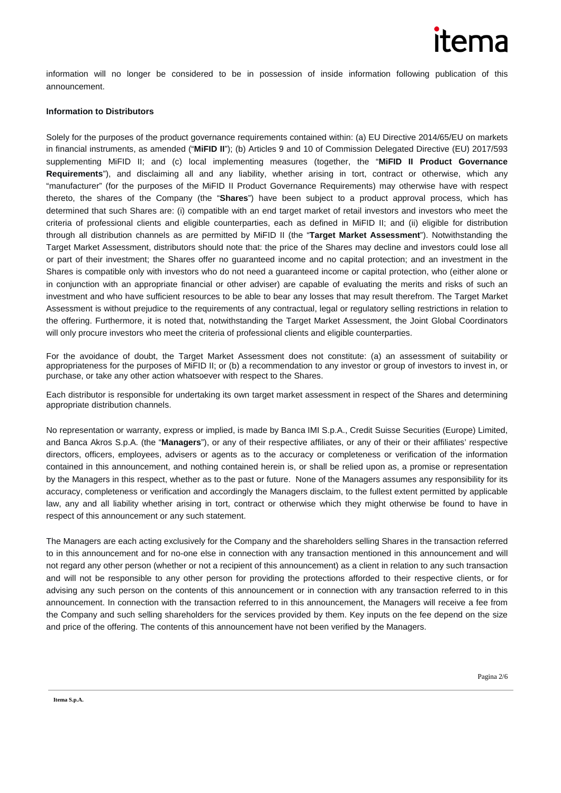# Itema

information will no longer be considered to be in possession of inside information following publication of this announcement.

#### **Information to Distributors**

Solely for the purposes of the product governance requirements contained within: (a) EU Directive 2014/65/EU on markets in financial instruments, as amended ("**MiFID II**"); (b) Articles 9 and 10 of Commission Delegated Directive (EU) 2017/593 supplementing MiFID II; and (c) local implementing measures (together, the "**MiFID II Product Governance Requirements**"), and disclaiming all and any liability, whether arising in tort, contract or otherwise, which any "manufacturer" (for the purposes of the MiFID II Product Governance Requirements) may otherwise have with respect thereto, the shares of the Company (the "**Shares**") have been subject to a product approval process, which has determined that such Shares are: (i) compatible with an end target market of retail investors and investors who meet the criteria of professional clients and eligible counterparties, each as defined in MiFID II; and (ii) eligible for distribution through all distribution channels as are permitted by MiFID II (the "**Target Market Assessment**"). Notwithstanding the Target Market Assessment, distributors should note that: the price of the Shares may decline and investors could lose all or part of their investment; the Shares offer no guaranteed income and no capital protection; and an investment in the Shares is compatible only with investors who do not need a guaranteed income or capital protection, who (either alone or in conjunction with an appropriate financial or other adviser) are capable of evaluating the merits and risks of such an investment and who have sufficient resources to be able to bear any losses that may result therefrom. The Target Market Assessment is without prejudice to the requirements of any contractual, legal or regulatory selling restrictions in relation to the offering. Furthermore, it is noted that, notwithstanding the Target Market Assessment, the Joint Global Coordinators will only procure investors who meet the criteria of professional clients and eligible counterparties.

For the avoidance of doubt, the Target Market Assessment does not constitute: (a) an assessment of suitability or appropriateness for the purposes of MiFID II; or (b) a recommendation to any investor or group of investors to invest in, or purchase, or take any other action whatsoever with respect to the Shares.

Each distributor is responsible for undertaking its own target market assessment in respect of the Shares and determining appropriate distribution channels.

No representation or warranty, express or implied, is made by Banca IMI S.p.A., Credit Suisse Securities (Europe) Limited, and Banca Akros S.p.A. (the "**Managers**"), or any of their respective affiliates, or any of their or their affiliates' respective directors, officers, employees, advisers or agents as to the accuracy or completeness or verification of the information contained in this announcement, and nothing contained herein is, or shall be relied upon as, a promise or representation by the Managers in this respect, whether as to the past or future. None of the Managers assumes any responsibility for its accuracy, completeness or verification and accordingly the Managers disclaim, to the fullest extent permitted by applicable law, any and all liability whether arising in tort, contract or otherwise which they might otherwise be found to have in respect of this announcement or any such statement.

The Managers are each acting exclusively for the Company and the shareholders selling Shares in the transaction referred to in this announcement and for no-one else in connection with any transaction mentioned in this announcement and will not regard any other person (whether or not a recipient of this announcement) as a client in relation to any such transaction and will not be responsible to any other person for providing the protections afforded to their respective clients, or for advising any such person on the contents of this announcement or in connection with any transaction referred to in this announcement. In connection with the transaction referred to in this announcement, the Managers will receive a fee from the Company and such selling shareholders for the services provided by them. Key inputs on the fee depend on the size and price of the offering. The contents of this announcement have not been verified by the Managers.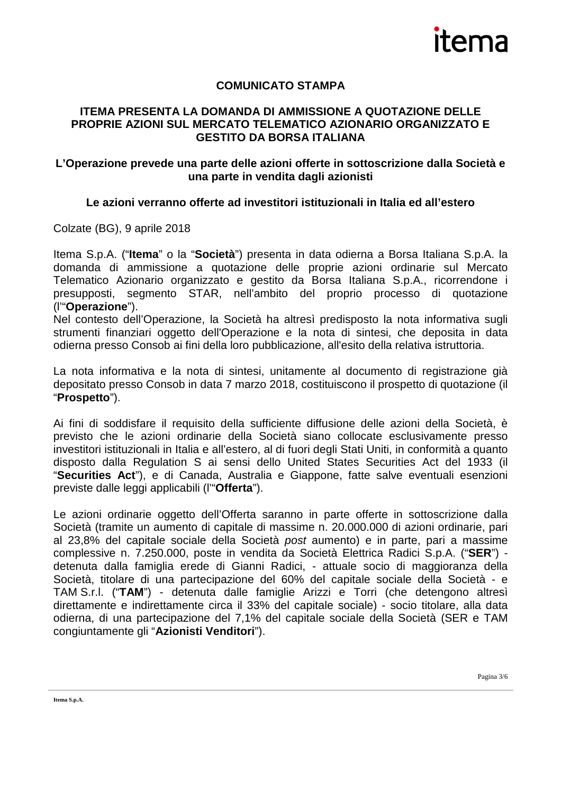

## **COMUNICATO STAMPA**

#### **ITEMA PRESENTA LA DOMANDA DI AMMISSIONE A QUOTAZIONE DELLE PROPRIE AZIONI SUL MERCATO TELEMATICO AZIONARIO ORGANIZZATO E GESTITO DA BORSA ITALIANA**

#### **L'Operazione prevede una parte delle azioni offerte in sottoscrizione dalla Società e una parte in vendita dagli azionisti**

## **Le azioni verranno offerte ad investitori istituzionali in Italia ed all'estero**

Colzate (BG), 9 aprile 2018

Itema S.p.A. ("**Itema**" o la "**Società**") presenta in data odierna a Borsa Italiana S.p.A. la domanda di ammissione a quotazione delle proprie azioni ordinarie sul Mercato Telematico Azionario organizzato e gestito da Borsa Italiana S.p.A., ricorrendone i presupposti, segmento STAR, nell'ambito del proprio processo di quotazione (l'"**Operazione**").

Nel contesto dell'Operazione, la Società ha altresì predisposto la nota informativa sugli strumenti finanziari oggetto dell'Operazione e la nota di sintesi, che deposita in data odierna presso Consob ai fini della loro pubblicazione, all'esito della relativa istruttoria.

La nota informativa e la nota di sintesi, unitamente al documento di registrazione già depositato presso Consob in data 7 marzo 2018, costituiscono il prospetto di quotazione (il "**Prospetto**").

Ai fini di soddisfare il requisito della sufficiente diffusione delle azioni della Società, è previsto che le azioni ordinarie della Società siano collocate esclusivamente presso investitori istituzionali in Italia e all'estero, al di fuori degli Stati Uniti, in conformità a quanto disposto dalla Regulation S ai sensi dello United States Securities Act del 1933 (il "**Securities Act**"), e di Canada, Australia e Giappone, fatte salve eventuali esenzioni previste dalle leggi applicabili (l'"**Offerta**").

Le azioni ordinarie oggetto dell'Offerta saranno in parte offerte in sottoscrizione dalla Società (tramite un aumento di capitale di massime n. 20.000.000 di azioni ordinarie, pari al 23,8% del capitale sociale della Società post aumento) e in parte, pari a massime complessive n. 7.250.000, poste in vendita da Società Elettrica Radici S.p.A. ("**SER**") detenuta dalla famiglia erede di Gianni Radici, - attuale socio di maggioranza della Società, titolare di una partecipazione del 60% del capitale sociale della Società - e TAM S.r.l. ("**TAM**") - detenuta dalle famiglie Arizzi e Torri (che detengono altresì direttamente e indirettamente circa il 33% del capitale sociale) - socio titolare, alla data odierna, di una partecipazione del 7,1% del capitale sociale della Società (SER e TAM congiuntamente gli "**Azionisti Venditori**").

**Itema S.p.A.**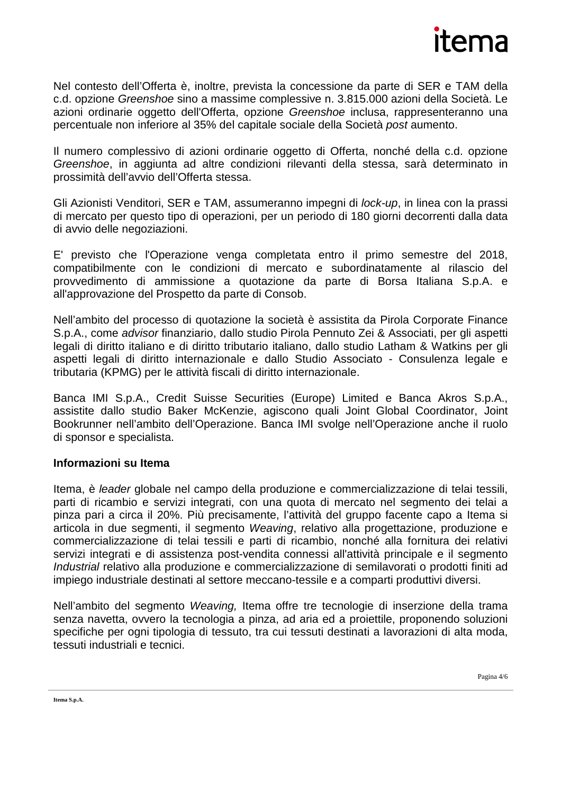

Nel contesto dell'Offerta è, inoltre, prevista la concessione da parte di SER e TAM della c.d. opzione Greenshoe sino a massime complessive n. 3.815.000 azioni della Società. Le azioni ordinarie oggetto dell'Offerta, opzione Greenshoe inclusa, rappresenteranno una percentuale non inferiore al 35% del capitale sociale della Società post aumento.

Il numero complessivo di azioni ordinarie oggetto di Offerta, nonché della c.d. opzione Greenshoe, in aggiunta ad altre condizioni rilevanti della stessa, sarà determinato in prossimità dell'avvio dell'Offerta stessa.

Gli Azionisti Venditori, SER e TAM, assumeranno impegni di lock-up, in linea con la prassi di mercato per questo tipo di operazioni, per un periodo di 180 giorni decorrenti dalla data di avvio delle negoziazioni.

E' previsto che l'Operazione venga completata entro il primo semestre del 2018, compatibilmente con le condizioni di mercato e subordinatamente al rilascio del provvedimento di ammissione a quotazione da parte di Borsa Italiana S.p.A. e all'approvazione del Prospetto da parte di Consob.

Nell'ambito del processo di quotazione la società è assistita da Pirola Corporate Finance S.p.A., come advisor finanziario, dallo studio Pirola Pennuto Zei & Associati, per gli aspetti legali di diritto italiano e di diritto tributario italiano, dallo studio Latham & Watkins per gli aspetti legali di diritto internazionale e dallo Studio Associato - Consulenza legale e tributaria (KPMG) per le attività fiscali di diritto internazionale.

Banca IMI S.p.A., Credit Suisse Securities (Europe) Limited e Banca Akros S.p.A., assistite dallo studio Baker McKenzie, agiscono quali Joint Global Coordinator, Joint Bookrunner nell'ambito dell'Operazione. Banca IMI svolge nell'Operazione anche il ruolo di sponsor e specialista.

## **Informazioni su Itema**

Itema, è leader globale nel campo della produzione e commercializzazione di telai tessili, parti di ricambio e servizi integrati, con una quota di mercato nel segmento dei telai a pinza pari a circa il 20%. Più precisamente, l'attività del gruppo facente capo a Itema si articola in due segmenti, il segmento Weaving, relativo alla progettazione, produzione e commercializzazione di telai tessili e parti di ricambio, nonché alla fornitura dei relativi servizi integrati e di assistenza post-vendita connessi all'attività principale e il segmento Industrial relativo alla produzione e commercializzazione di semilavorati o prodotti finiti ad impiego industriale destinati al settore meccano-tessile e a comparti produttivi diversi.

Nell'ambito del segmento Weaving, Itema offre tre tecnologie di inserzione della trama senza navetta, ovvero la tecnologia a pinza, ad aria ed a proiettile, proponendo soluzioni specifiche per ogni tipologia di tessuto, tra cui tessuti destinati a lavorazioni di alta moda, tessuti industriali e tecnici.

**Itema S.p.A.**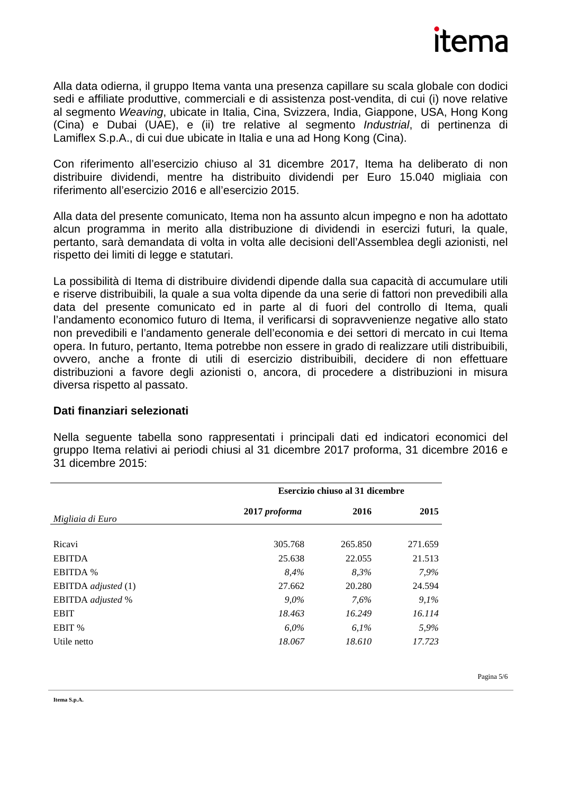

Alla data odierna, il gruppo Itema vanta una presenza capillare su scala globale con dodici sedi e affiliate produttive, commerciali e di assistenza post-vendita, di cui (i) nove relative al segmento Weaving, ubicate in Italia, Cina, Svizzera, India, Giappone, USA, Hong Kong (Cina) e Dubai (UAE), e (ii) tre relative al segmento Industrial, di pertinenza di Lamiflex S.p.A., di cui due ubicate in Italia e una ad Hong Kong (Cina).

Con riferimento all'esercizio chiuso al 31 dicembre 2017, Itema ha deliberato di non distribuire dividendi, mentre ha distribuito dividendi per Euro 15.040 migliaia con riferimento all'esercizio 2016 e all'esercizio 2015.

Alla data del presente comunicato, Itema non ha assunto alcun impegno e non ha adottato alcun programma in merito alla distribuzione di dividendi in esercizi futuri, la quale, pertanto, sarà demandata di volta in volta alle decisioni dell'Assemblea degli azionisti, nel rispetto dei limiti di legge e statutari.

La possibilità di Itema di distribuire dividendi dipende dalla sua capacità di accumulare utili e riserve distribuibili, la quale a sua volta dipende da una serie di fattori non prevedibili alla data del presente comunicato ed in parte al di fuori del controllo di Itema, quali l'andamento economico futuro di Itema, il verificarsi di sopravvenienze negative allo stato non prevedibili e l'andamento generale dell'economia e dei settori di mercato in cui Itema opera. In futuro, pertanto, Itema potrebbe non essere in grado di realizzare utili distribuibili, ovvero, anche a fronte di utili di esercizio distribuibili, decidere di non effettuare distribuzioni a favore degli azionisti o, ancora, di procedere a distribuzioni in misura diversa rispetto al passato.

#### **Dati finanziari selezionati**

Nella seguente tabella sono rappresentati i principali dati ed indicatori economici del gruppo Itema relativi ai periodi chiusi al 31 dicembre 2017 proforma, 31 dicembre 2016 e 31 dicembre 2015:

|                            | Esercizio chiuso al 31 dicembre |         |         |  |
|----------------------------|---------------------------------|---------|---------|--|
| Migliaia di Euro           | 2017 proforma                   | 2016    | 2015    |  |
| Ricavi                     | 305.768                         | 265.850 | 271.659 |  |
| <b>EBITDA</b>              | 25.638                          | 22.055  | 21.513  |  |
| <b>EBITDA</b> %            | 8,4%                            | 8,3%    | 7,9%    |  |
| EBITDA <i>adjusted</i> (1) | 27.662                          | 20.280  | 24.594  |  |
| <b>EBITDA</b> adjusted %   | $9,0\%$                         | 7,6%    | 9,1%    |  |
| <b>EBIT</b>                | 18.463                          | 16.249  | 16.114  |  |
| EBIT %                     | $6.0\%$                         | $6.1\%$ | 5,9%    |  |
| Utile netto                | 18.067                          | 18.610  | 17.723  |  |